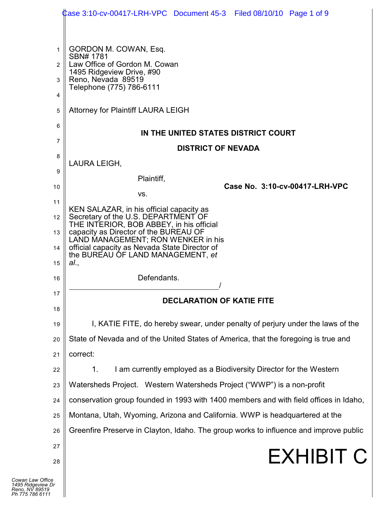|                                   | Case 3:10-cv-00417-LRH-VPC Document 45-3 Filed 08/10/10 Page 1 of 9                   |
|-----------------------------------|---------------------------------------------------------------------------------------|
|                                   |                                                                                       |
| 1                                 | GORDON M. COWAN, Esq.<br>SBN# 1781                                                    |
| $\overline{2}$                    | Law Office of Gordon M. Cowan<br>1495 Ridgeview Drive, #90                            |
| 3                                 | Reno, Nevada 89519<br>Telephone (775) 786-6111                                        |
| 4                                 |                                                                                       |
| 5                                 | <b>Attorney for Plaintiff LAURA LEIGH</b>                                             |
| 6                                 | IN THE UNITED STATES DISTRICT COURT                                                   |
| 7                                 | <b>DISTRICT OF NEVADA</b>                                                             |
| 8                                 | LAURA LEIGH,                                                                          |
| 9                                 | Plaintiff,<br>Case No. 3:10-cv-00417-LRH-VPC                                          |
| 10                                | VS.                                                                                   |
| 11<br>12 $\blacksquare$           | KEN SALAZAR, in his official capacity as<br>Secretary of the U.S. DEPARTMENT OF       |
| 13 $\blacksquare$                 | THE INTERIOR, BOB ABBEY, in his official<br>capacity as Director of the BUREAU OF     |
| 14                                | LAND MANAGEMENT; RON WENKER in his<br>official capacity as Nevada State Director of   |
| 15                                | the BUREAU OF LAND MANAGEMENT, et<br>al.,                                             |
| 16                                | Defendants.                                                                           |
| 17                                |                                                                                       |
| 18                                | <b>DECLARATION OF KATIE FITE</b>                                                      |
| 19                                | I, KATIE FITE, do hereby swear, under penalty of perjury under the laws of the        |
| 20                                | State of Nevada and of the United States of America, that the foregoing is true and   |
| 21                                | correct:                                                                              |
| 22                                | I am currently employed as a Biodiversity Director for the Western<br>1.              |
| 23                                | Watersheds Project. Western Watersheds Project ("WWP") is a non-profit                |
| 24                                | conservation group founded in 1993 with 1400 members and with field offices in Idaho, |
| 25                                | Montana, Utah, Wyoming, Arizona and California. WWP is headquartered at the           |
| 26                                | Greenfire Preserve in Clayton, Idaho. The group works to influence and improve public |
| 27                                | <b>EXHIBIT C</b>                                                                      |
| 28                                |                                                                                       |
| ice<br><sup>, Dr</sup><br>9<br>'1 |                                                                                       |
|                                   |                                                                                       |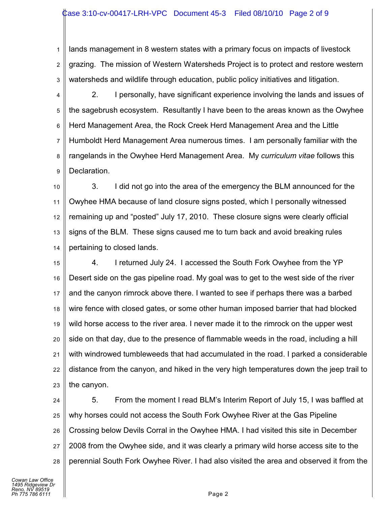## Case 3:10-cv-00417-LRH-VPC Document 45-3 Filed 08/10/10 Page 2 of 9

1 2 3 lands management in 8 western states with a primary focus on impacts of livestock grazing. The mission of Western Watersheds Project is to protect and restore western watersheds and wildlife through education, public policy initiatives and litigation.

4 5 6 7 8 9 2. I personally, have significant experience involving the lands and issues of the sagebrush ecosystem. Resultantly I have been to the areas known as the Owyhee Herd Management Area, the Rock Creek Herd Management Area and the Little Humboldt Herd Management Area numerous times. I am personally familiar with the rangelands in the Owyhee Herd Management Area. My *curriculum vitae* follows this Declaration.

10 11 12 13 14 3. I did not go into the area of the emergency the BLM announced for the Owyhee HMA because of land closure signs posted, which I personally witnessed remaining up and "posted" July 17, 2010. These closure signs were clearly official signs of the BLM. These signs caused me to turn back and avoid breaking rules pertaining to closed lands.

15 16 17 18 19 20 21 22 23 4. I returned July 24. I accessed the South Fork Owyhee from the YP Desert side on the gas pipeline road. My goal was to get to the west side of the river and the canyon rimrock above there. I wanted to see if perhaps there was a barbed wire fence with closed gates, or some other human imposed barrier that had blocked wild horse access to the river area. I never made it to the rimrock on the upper west side on that day, due to the presence of flammable weeds in the road, including a hill with windrowed tumbleweeds that had accumulated in the road. I parked a considerable distance from the canyon, and hiked in the very high temperatures down the jeep trail to the canyon.

24 25 26 27 28 5. From the moment I read BLM's Interim Report of July 15, I was baffled at why horses could not access the South Fork Owyhee River at the Gas Pipeline Crossing below Devils Corral in the Owyhee HMA. I had visited this site in December 2008 from the Owyhee side, and it was clearly a primary wild horse access site to the perennial South Fork Owyhee River. I had also visited the area and observed it from the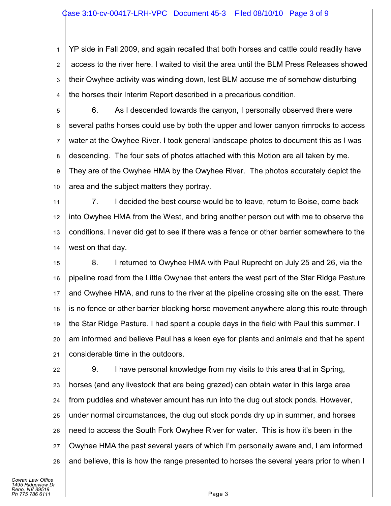## Case 3:10-cv-00417-LRH-VPC Document 45-3 Filed 08/10/10 Page 3 of 9

1 2 3 4 YP side in Fall 2009, and again recalled that both horses and cattle could readily have access to the river here. I waited to visit the area until the BLM Press Releases showed their Owyhee activity was winding down, lest BLM accuse me of somehow disturbing the horses their Interim Report described in a precarious condition.

5 6 7 8 9 10 6. As I descended towards the canyon, I personally observed there were several paths horses could use by both the upper and lower canyon rimrocks to access water at the Owyhee River. I took general landscape photos to document this as I was descending. The four sets of photos attached with this Motion are all taken by me. They are of the Owyhee HMA by the Owyhee River. The photos accurately depict the area and the subject matters they portray.

11 12 13 14 7. I decided the best course would be to leave, return to Boise, come back into Owyhee HMA from the West, and bring another person out with me to observe the conditions. I never did get to see if there was a fence or other barrier somewhere to the west on that day.

15 16 17 18 19 20 21 8. I returned to Owyhee HMA with Paul Ruprecht on July 25 and 26, via the pipeline road from the Little Owyhee that enters the west part of the Star Ridge Pasture and Owyhee HMA, and runs to the river at the pipeline crossing site on the east. There is no fence or other barrier blocking horse movement anywhere along this route through the Star Ridge Pasture. I had spent a couple days in the field with Paul this summer. I am informed and believe Paul has a keen eye for plants and animals and that he spent considerable time in the outdoors.

22 23 24 25 26 27 28 9. I have personal knowledge from my visits to this area that in Spring, horses (and any livestock that are being grazed) can obtain water in this large area from puddles and whatever amount has run into the dug out stock ponds. However, under normal circumstances, the dug out stock ponds dry up in summer, and horses need to access the South Fork Owyhee River for water. This is how it's been in the Owyhee HMA the past several years of which I'm personally aware and, I am informed and believe, this is how the range presented to horses the several years prior to when I

*Cowan Law Office 1495 Ridgeview Dr Reno, NV 89519 Ph 775 786 6111* Page 3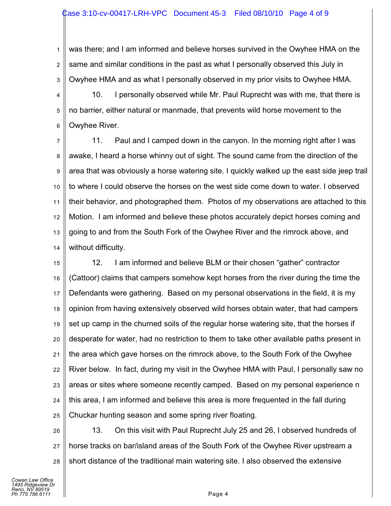1 2 3 was there; and I am informed and believe horses survived in the Owyhee HMA on the same and similar conditions in the past as what I personally observed this July in Owyhee HMA and as what I personally observed in my prior visits to Owyhee HMA.

4 5 6 10. I personally observed while Mr. Paul Ruprecht was with me, that there is no barrier, either natural or manmade, that prevents wild horse movement to the Owyhee River.

7 8 9 10 11 12 13 14 11. Paul and I camped down in the canyon. In the morning right after I was awake, I heard a horse whinny out of sight. The sound came from the direction of the area that was obviously a horse watering site. I quickly walked up the east side jeep trail to where I could observe the horses on the west side come down to water. I observed their behavior, and photographed them. Photos of my observations are attached to this Motion. I am informed and believe these photos accurately depict horses coming and going to and from the South Fork of the Owyhee River and the rimrock above, and without difficulty.

15 16 17 18 19 20 21 22 23 24 25 12. I am informed and believe BLM or their chosen "gather" contractor (Cattoor) claims that campers somehow kept horses from the river during the time the Defendants were gathering. Based on my personal observations in the field, it is my opinion from having extensively observed wild horses obtain water, that had campers set up camp in the churned soils of the regular horse watering site, that the horses if desperate for water, had no restriction to them to take other available paths present in the area which gave horses on the rimrock above, to the South Fork of the Owyhee River below. In fact, during my visit in the Owyhee HMA with Paul, I personally saw no areas or sites where someone recently camped. Based on my personal experience n this area, I am informed and believe this area is more frequented in the fall during Chuckar hunting season and some spring river floating.

26 27 28 13. On this visit with Paul Ruprecht July 25 and 26, I observed hundreds of horse tracks on bar/island areas of the South Fork of the Owyhee River upstream a short distance of the traditional main watering site. I also observed the extensive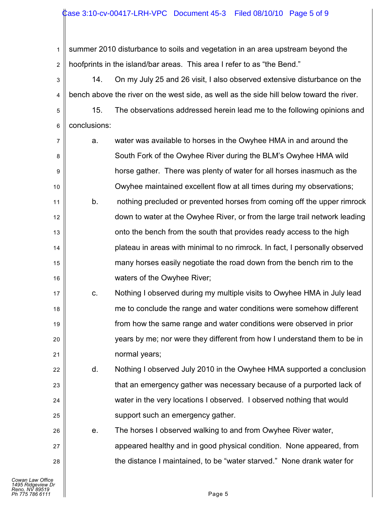## ase 3:10-cv-00417-LRH-VPC Document 45-3 Filed 08/10/10 Page 5 of 9

1 2 summer 2010 disturbance to soils and vegetation in an area upstream beyond the hoofprints in the island/bar areas. This area I refer to as "the Bend."

3 4 14. On my July 25 and 26 visit, I also observed extensive disturbance on the bench above the river on the west side, as well as the side hill below toward the river.

5 6 15. The observations addressed herein lead me to the following opinions and conclusions:

7 8 9 10 a. water was available to horses in the Owyhee HMA in and around the South Fork of the Owyhee River during the BLM's Owyhee HMA wild horse gather. There was plenty of water for all horses inasmuch as the Owyhee maintained excellent flow at all times during my observations;

11 12 13 14 15 16 b. nothing precluded or prevented horses from coming off the upper rimrock down to water at the Owyhee River, or from the large trail network leading onto the bench from the south that provides ready access to the high plateau in areas with minimal to no rimrock. In fact, I personally observed many horses easily negotiate the road down from the bench rim to the waters of the Owyhee River;

c. Nothing I observed during my multiple visits to Owyhee HMA in July lead me to conclude the range and water conditions were somehow different from how the same range and water conditions were observed in prior years by me; nor were they different from how I understand them to be in normal years;

d. Nothing I observed July 2010 in the Owyhee HMA supported a conclusion that an emergency gather was necessary because of a purported lack of water in the very locations I observed. I observed nothing that would support such an emergency gather.

e. The horses I observed walking to and from Owyhee River water, appeared healthy and in good physical condition. None appeared, from the distance I maintained, to be "water starved." None drank water for

17

18

19

20

21

22

23

24

25

26

27

28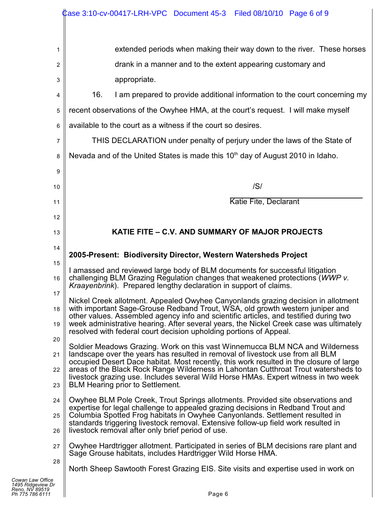|                                                                            | Case 3:10-cv-00417-LRH-VPC Document 45-3 Filed 08/10/10 Page 6 of 9                                                                                                                                                               |
|----------------------------------------------------------------------------|-----------------------------------------------------------------------------------------------------------------------------------------------------------------------------------------------------------------------------------|
|                                                                            |                                                                                                                                                                                                                                   |
| 1                                                                          | extended periods when making their way down to the river. These horses                                                                                                                                                            |
| 2                                                                          | drank in a manner and to the extent appearing customary and                                                                                                                                                                       |
| 3                                                                          | appropriate.                                                                                                                                                                                                                      |
| 4                                                                          | 16.<br>I am prepared to provide additional information to the court concerning my                                                                                                                                                 |
| 5                                                                          | recent observations of the Owyhee HMA, at the court's request. I will make myself                                                                                                                                                 |
| 6                                                                          | available to the court as a witness if the court so desires.                                                                                                                                                                      |
| 7                                                                          | THIS DECLARATION under penalty of perjury under the laws of the State of                                                                                                                                                          |
| 8                                                                          | Nevada and of the United States is made this 10 <sup>th</sup> day of August 2010 in Idaho.                                                                                                                                        |
| 9                                                                          |                                                                                                                                                                                                                                   |
| 10                                                                         | /S/                                                                                                                                                                                                                               |
| 11                                                                         | Katie Fite, Declarant                                                                                                                                                                                                             |
| 12                                                                         |                                                                                                                                                                                                                                   |
| 13                                                                         | KATIE FITE - C.V. AND SUMMARY OF MAJOR PROJECTS                                                                                                                                                                                   |
| 14                                                                         |                                                                                                                                                                                                                                   |
| 15                                                                         | 2005-Present: Biodiversity Director, Western Watersheds Project                                                                                                                                                                   |
| 16                                                                         | I amassed and reviewed large body of BLM documents for successful litigation<br>challenging BLM Grazing Regulation changes that weakened protections (WWP v.<br>Kraayenbrink). Prepared lengthy declaration in support of claims. |
| 17                                                                         | Nickel Creek allotment. Appealed Owyhee Canyonlands grazing decision in allotment                                                                                                                                                 |
| 18                                                                         | with important Sage-Grouse Redband Trout, WSA, old growth western juniper and<br>other values. Assembled agency info and scientific articles, and testified during two                                                            |
| 19                                                                         | week administrative hearing. After several years, the Nickel Creek case was ultimately<br>resolved with federal court decision upholding portions of Appeal.                                                                      |
| 20                                                                         | Soldier Meadows Grazing. Work on this vast Winnemucca BLM NCA and Wilderness                                                                                                                                                      |
| 21                                                                         | landscape over the years has resulted in removal of livestock use from all BLM<br>occupied Desert Dace habitat. Most recently, this work resulted in the closure of large                                                         |
| 22                                                                         | areas of the Black Rock Range Wilderness in Lahontan Cutthroat Trout watersheds to<br>livestock grazing use. Includes several Wild Horse HMAs. Expert witness in two week                                                         |
| 23                                                                         | <b>BLM Hearing prior to Settlement.</b>                                                                                                                                                                                           |
| 24                                                                         | Owyhee BLM Pole Creek, Trout Springs allotments. Provided site observations and                                                                                                                                                   |
| 25                                                                         | expertise for legal challenge to appealed grazing decisions in Redband Trout and<br>Columbia Spotted Frog habitats in Owyhee Canyonlands. Settlement resulted in                                                                  |
| 26                                                                         | standards triggering livestock removal. Extensive follow-up field work resulted in<br>livestock removal after only brief period of use.                                                                                           |
| 27                                                                         | Owyhee Hardtrigger allotment. Participated in series of BLM decisions rare plant and<br>Sage Grouse habitats, includes Hardtrigger Wild Horse HMA.                                                                                |
| 28                                                                         | North Sheep Sawtooth Forest Grazing EIS. Site visits and expertise used in work on                                                                                                                                                |
| Cowan Law Office<br>1495 Ridgeview Dr<br>Reno, NV 89519<br>Ph 775 786 6111 | Page 6                                                                                                                                                                                                                            |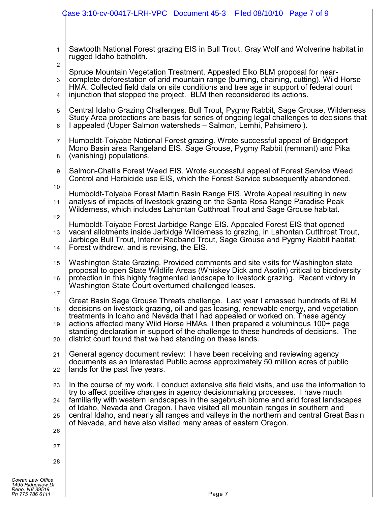|                                | Case 3:10-cv-00417-LRH-VPC Document 45-3 Filed 08/10/10 Page 7 of 9                                                                                                             |
|--------------------------------|---------------------------------------------------------------------------------------------------------------------------------------------------------------------------------|
|                                |                                                                                                                                                                                 |
|                                |                                                                                                                                                                                 |
| $\mathbf{1}$<br>$\overline{2}$ | Sawtooth National Forest grazing EIS in Bull Trout, Gray Wolf and Wolverine habitat in<br>rugged Idaho batholith.                                                               |
|                                | Spruce Mountain Vegetation Treatment. Appealed Elko BLM proposal for near-                                                                                                      |
| 3                              | complete deforestation of arid mountain range (burning, chaining, cutting). Wild Horse<br>HMA. Collected field data on site conditions and tree age in support of federal court |
| 4                              | injunction that stopped the project. BLM then reconsidered its actions.                                                                                                         |
| 5                              | Central Idaho Grazing Challenges. Bull Trout, Pygmy Rabbit, Sage Grouse, Wilderness                                                                                             |
| 6                              | Study Area protections are basis for series of ongoing legal challenges to decisions that<br>I appealed (Upper Salmon watersheds - Salmon, Lemhi, Pahsimeroi).                  |
| $\overline{7}$                 | Humboldt-Toiyabe National Forest grazing. Wrote successful appeal of Bridgeport                                                                                                 |
| 8                              | Mono Basin area Rangeland EIS. Sage Grouse, Pygmy Rabbit (remnant) and Pika<br>(vanishing) populations.                                                                         |
| 9                              | Salmon-Challis Forest Weed EIS. Wrote successful appeal of Forest Service Weed                                                                                                  |
| 10                             | Control and Herbicide use EIS, which the Forest Service subsequently abandoned.                                                                                                 |
| 11                             | Humboldt-Toiyabe Forest Martin Basin Range EIS. Wrote Appeal resulting in new<br>analysis of impacts of livestock grazing on the Santa Rosa Range Paradise Peak                 |
| 12                             | Wilderness, which includes Lahontan Cutthroat Trout and Sage Grouse habitat.                                                                                                    |
| 13                             | Humboldt-Toiyabe Forest Jarbidge Range EIS. Appealed Forest EIS that opened<br>vacant allotments inside Jarbidge Wilderness to grazing, in Lahontan Cutthroat Trout,            |
|                                | Jarbidge Bull Trout, Interior Redband Trout, Sage Grouse and Pygmy Rabbit habitat.<br>Forest withdrew, and is revising, the EIS.                                                |
| 14                             |                                                                                                                                                                                 |
| 15                             | Washington State Grazing. Provided comments and site visits for Washington state<br>proposal to open State Wildlife Areas (Whiskey Dick and Asotin) critical to biodiversity    |
| 16                             | protection in this highly fragmented landscape to livestock grazing. Recent victory in<br>Washington State Court overturned challenged leases.                                  |
| 17                             | Great Basin Sage Grouse Threats challenge. Last year I amassed hundreds of BLM                                                                                                  |
| 18                             | decisions on livestock grazing, oil and gas leasing, renewable energy, and vegetation<br>treatments in Idaho and Nevada that I had appealed or worked on. These agency          |
| 19                             | actions affected many Wild Horse HMAs. I then prepared a voluminous 100+ page<br>standing declaration in support of the challenge to these hundreds of decisions. The           |
| 20                             | district court found that we had standing on these lands.                                                                                                                       |
| 21                             | General agency document review: I have been receiving and reviewing agency                                                                                                      |
| 22                             | documents as an Interested Public across approximately 50 million acres of public<br>lands for the past five years.                                                             |
| 23                             | In the course of my work, I conduct extensive site field visits, and use the information to                                                                                     |
| 24                             | try to affect positive changes in agency decisionmaking processes. I have much<br>familiarity with western landscapes in the sagebrush biome and arid forest landscapes         |
| 25                             | of Idaho, Nevada and Oregon. I have visited all mountain ranges in southern and<br>central Idaho, and nearly all ranges and valleys in the northern and central Great Basin     |
| 26                             | of Nevada, and have also visited many areas of eastern Oregon.                                                                                                                  |
| 27                             |                                                                                                                                                                                 |
| 28                             |                                                                                                                                                                                 |
|                                |                                                                                                                                                                                 |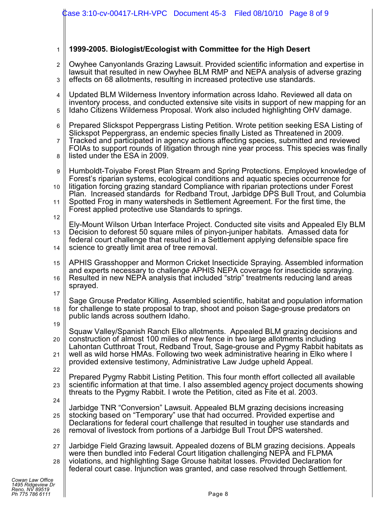## 1 **1999-2005. Biologist/Ecologist with Committee for the High Desert**

- 2 3 Owyhee Canyonlands Grazing Lawsuit. Provided scientific information and expertise in lawsuit that resulted in new Owyhee BLM RMP and NEPA analysis of adverse grazing effects on 68 allotments, resulting in increased protective use standards.
- 4 5 Updated BLM Wilderness Inventory information across Idaho. Reviewed all data on inventory process, and conducted extensive site visits in support of new mapping for an Idaho Citizens Wilderness Proposal. Work also included highlighting OHV damage.
- 6 Prepared Slickspot Peppergrass Listing Petition. Wrote petition seeking ESA Listing of Slickspot Peppergrass, an endemic species finally Listed as Threatened in 2009.
- 7 8 Tracked and participated in agency actions affecting species, submitted and reviewed FOIAs to support rounds of litigation through nine year process. This species was finally listed under the ESA in 2009.
- 9 Humboldt-Toiyabe Forest Plan Stream and Spring Protections. Employed knowledge of Forest's riparian systems, ecological conditions and aquatic species occurrence for
- $1<sub>0</sub>$ 11 litigation forcing grazing standard Compliance with riparian protections under Forest Plan. Increased standards for Redband Trout, Jarbidge DPS Bull Trout, and Columbia Spotted Frog in many watersheds in Settlement Agreement. For the first time, the
	- Forest applied protective use Standards to springs.
- 12
- 13 14 Ely-Mount Wilson Urban Interface Project. Conducted site visits and Appealed Ely BLM Decision to deforest 50 square miles of pinyon-juniper habitats. Amassed data for federal court challenge that resulted in a Settlement applying defensible space fire science to greatly limit area of tree removal.
- 15 APHIS Grasshopper and Mormon Cricket Insecticide Spraying. Assembled information
- 16 and experts necessary to challenge APHIS NEPA coverage for insecticide spraying. Resulted in new NEPA analysis that included "strip" treatments reducing land areas sprayed.
- 17
- 18 Sage Grouse Predator Killing. Assembled scientific, habitat and population information for challenge to state proposal to trap, shoot and poison Sage-grouse predators on public lands across southern Idaho.
- 19
- 20 Squaw Valley/Spanish Ranch Elko allotments. Appealed BLM grazing decisions and construction of almost 100 miles of new fence in two large allotments including Lahontan Cutthroat Trout, Redband Trout, Sage-grouse and Pygmy Rabbit habitats as
- 21 22 well as wild horse HMAs. Following two week administrative hearing in Elko where I provided extensive testimony, Administrative Law Judge upheld Appeal.
- 23 Prepared Pygmy Rabbit Listing Petition. This four month effort collected all available scientific information at that time. I also assembled agency project documents showing threats to the Pygmy Rabbit. I wrote the Petition, cited as Fite et al. 2003.
- 24
	- 25 26 Jarbidge TNR "Conversion" Lawsuit. Appealed BLM grazing decisions increasing stocking based on "Temporary" use that had occurred. Provided expertise and Declarations for federal court challenge that resulted in tougher use standards and removal of livestock from portions of a Jarbidge Bull Trout DPS watershed.
- 27 28 Jarbidge Field Grazing lawsuit. Appealed dozens of BLM grazing decisions. Appeals were then bundled into Federal Court litigation challenging NEPA and FLPMA violations, and highlighting Sage Grouse habitat losses. Provided Declaration for federal court case. Injunction was granted, and case resolved through Settlement.